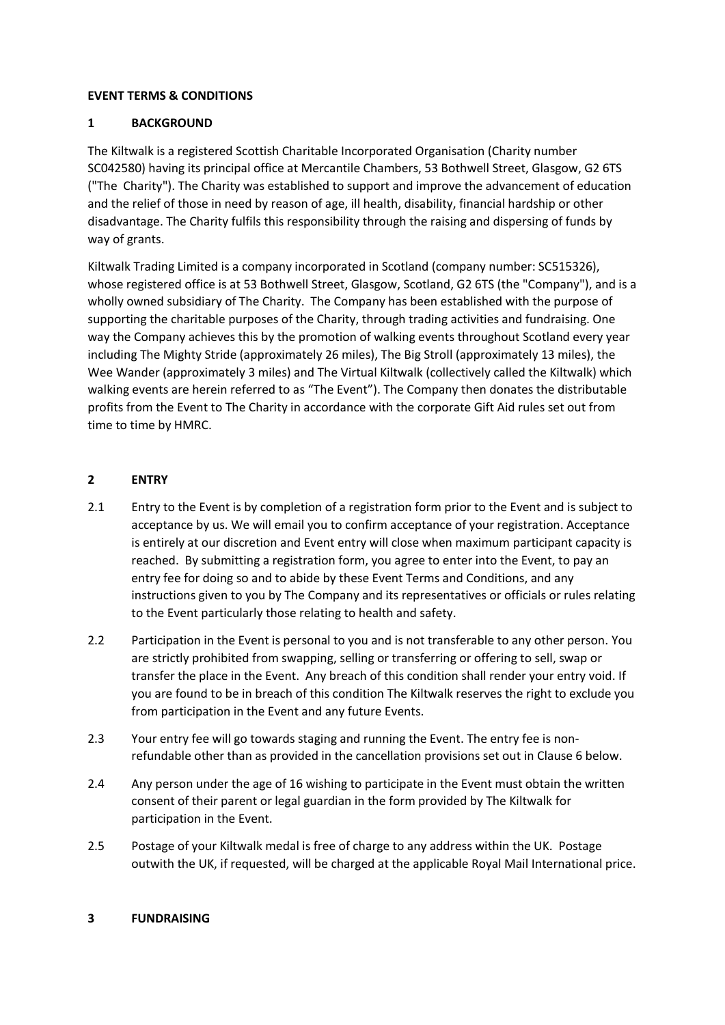## **EVENT TERMS & CONDITIONS**

## **1 BACKGROUND**

The Kiltwalk is a registered Scottish Charitable Incorporated Organisation (Charity number SC042580) having its principal office at Mercantile Chambers, 53 Bothwell Street, Glasgow, G2 6TS ("The Charity"). The Charity was established to support and improve the advancement of education and the relief of those in need by reason of age, ill health, disability, financial hardship or other disadvantage. The Charity fulfils this responsibility through the raising and dispersing of funds by way of grants.

Kiltwalk Trading Limited is a company incorporated in Scotland (company number: SC515326), whose registered office is at 53 Bothwell Street, Glasgow, Scotland, G2 6TS (the "Company"), and is a wholly owned subsidiary of The Charity. The Company has been established with the purpose of supporting the charitable purposes of the Charity, through trading activities and fundraising. One way the Company achieves this by the promotion of walking events throughout Scotland every year including The Mighty Stride (approximately 26 miles), The Big Stroll (approximately 13 miles), the Wee Wander (approximately 3 miles) and The Virtual Kiltwalk (collectively called the Kiltwalk) which walking events are herein referred to as "The Event"). The Company then donates the distributable profits from the Event to The Charity in accordance with the corporate Gift Aid rules set out from time to time by HMRC.

### **2 ENTRY**

- 2.1 Entry to the Event is by completion of a registration form prior to the Event and is subject to acceptance by us. We will email you to confirm acceptance of your registration. Acceptance is entirely at our discretion and Event entry will close when maximum participant capacity is reached. By submitting a registration form, you agree to enter into the Event, to pay an entry fee for doing so and to abide by these Event Terms and Conditions, and any instructions given to you by The Company and its representatives or officials or rules relating to the Event particularly those relating to health and safety.
- 2.2 Participation in the Event is personal to you and is not transferable to any other person. You are strictly prohibited from swapping, selling or transferring or offering to sell, swap or transfer the place in the Event. Any breach of this condition shall render your entry void. If you are found to be in breach of this condition The Kiltwalk reserves the right to exclude you from participation in the Event and any future Events.
- 2.3 Your entry fee will go towards staging and running the Event. The entry fee is nonrefundable other than as provided in the cancellation provisions set out in Clause 6 below.
- 2.4 Any person under the age of 16 wishing to participate in the Event must obtain the written consent of their parent or legal guardian in the form provided by The Kiltwalk for participation in the Event.
- 2.5 Postage of your Kiltwalk medal is free of charge to any address within the UK. Postage outwith the UK, if requested, will be charged at the applicable Royal Mail International price.

#### **3 FUNDRAISING**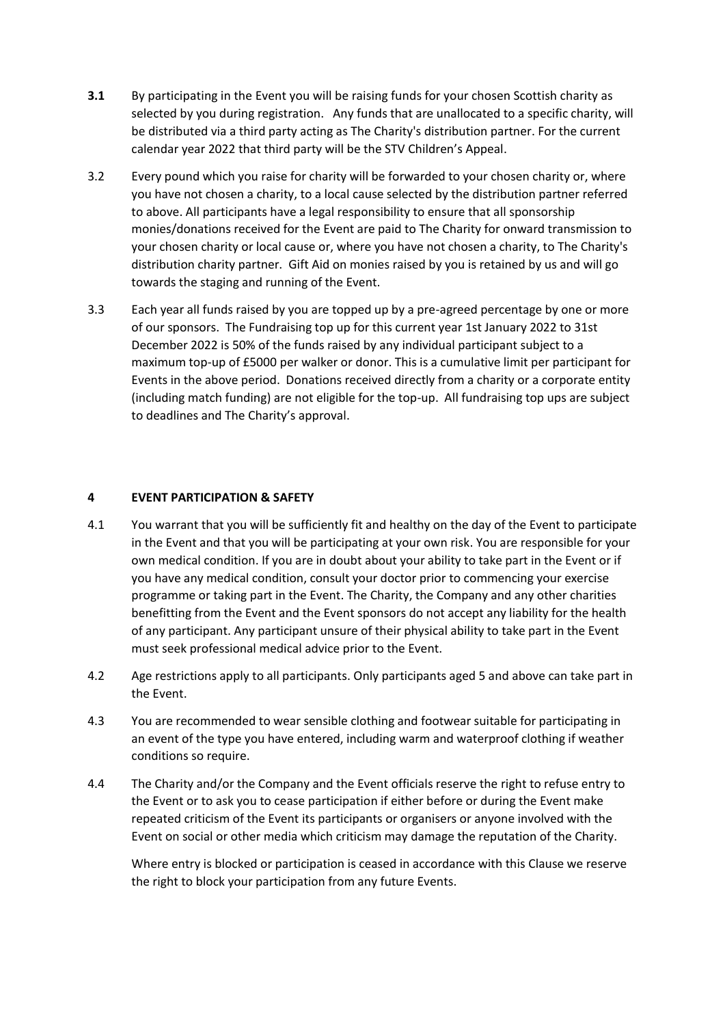- **3.1** By participating in the Event you will be raising funds for your chosen Scottish charity as selected by you during registration. Any funds that are unallocated to a specific charity, will be distributed via a third party acting as The Charity's distribution partner. For the current calendar year 2022 that third party will be the STV Children's Appeal.
- 3.2 Every pound which you raise for charity will be forwarded to your chosen charity or, where you have not chosen a charity, to a local cause selected by the distribution partner referred to above. All participants have a legal responsibility to ensure that all sponsorship monies/donations received for the Event are paid to The Charity for onward transmission to your chosen charity or local cause or, where you have not chosen a charity, to The Charity's distribution charity partner. Gift Aid on monies raised by you is retained by us and will go towards the staging and running of the Event.
- 3.3 Each year all funds raised by you are topped up by a pre-agreed percentage by one or more of our sponsors. The Fundraising top up for this current year 1st January 2022 to 31st December 2022 is 50% of the funds raised by any individual participant subject to a maximum top-up of £5000 per walker or donor. This is a cumulative limit per participant for Events in the above period. Donations received directly from a charity or a corporate entity (including match funding) are not eligible for the top-up. All fundraising top ups are subject to deadlines and The Charity's approval.

#### **4 EVENT PARTICIPATION & SAFETY**

- 4.1 You warrant that you will be sufficiently fit and healthy on the day of the Event to participate in the Event and that you will be participating at your own risk. You are responsible for your own medical condition. If you are in doubt about your ability to take part in the Event or if you have any medical condition, consult your doctor prior to commencing your exercise programme or taking part in the Event. The Charity, the Company and any other charities benefitting from the Event and the Event sponsors do not accept any liability for the health of any participant. Any participant unsure of their physical ability to take part in the Event must seek professional medical advice prior to the Event.
- 4.2 Age restrictions apply to all participants. Only participants aged 5 and above can take part in the Event.
- 4.3 You are recommended to wear sensible clothing and footwear suitable for participating in an event of the type you have entered, including warm and waterproof clothing if weather conditions so require.
- 4.4 The Charity and/or the Company and the Event officials reserve the right to refuse entry to the Event or to ask you to cease participation if either before or during the Event make repeated criticism of the Event its participants or organisers or anyone involved with the Event on social or other media which criticism may damage the reputation of the Charity.

Where entry is blocked or participation is ceased in accordance with this Clause we reserve the right to block your participation from any future Events.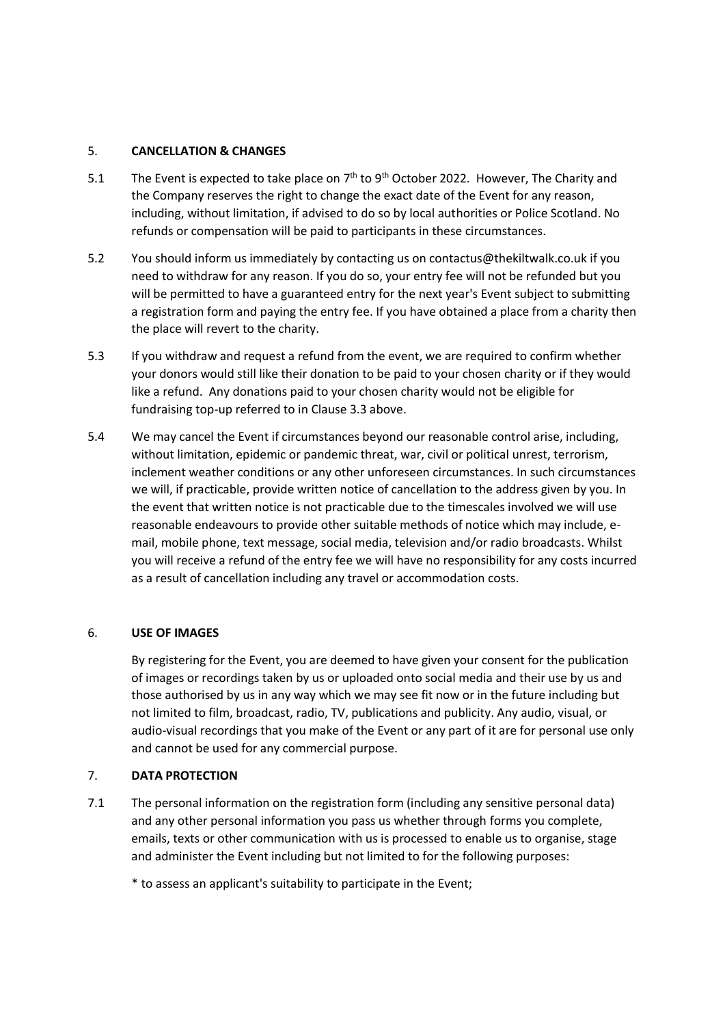#### 5. **CANCELLATION & CHANGES**

- 5.1 The Event is expected to take place on  $7<sup>th</sup>$  to 9<sup>th</sup> October 2022. However, The Charity and the Company reserves the right to change the exact date of the Event for any reason, including, without limitation, if advised to do so by local authorities or Police Scotland. No refunds or compensation will be paid to participants in these circumstances.
- 5.2 You should inform us immediately by contacting us on contactus@thekiltwalk.co.uk if you need to withdraw for any reason. If you do so, your entry fee will not be refunded but you will be permitted to have a guaranteed entry for the next year's Event subject to submitting a registration form and paying the entry fee. If you have obtained a place from a charity then the place will revert to the charity.
- 5.3 If you withdraw and request a refund from the event, we are required to confirm whether your donors would still like their donation to be paid to your chosen charity or if they would like a refund. Any donations paid to your chosen charity would not be eligible for fundraising top-up referred to in Clause 3.3 above.
- 5.4 We may cancel the Event if circumstances beyond our reasonable control arise, including, without limitation, epidemic or pandemic threat, war, civil or political unrest, terrorism, inclement weather conditions or any other unforeseen circumstances. In such circumstances we will, if practicable, provide written notice of cancellation to the address given by you. In the event that written notice is not practicable due to the timescales involved we will use reasonable endeavours to provide other suitable methods of notice which may include, email, mobile phone, text message, social media, television and/or radio broadcasts. Whilst you will receive a refund of the entry fee we will have no responsibility for any costs incurred as a result of cancellation including any travel or accommodation costs.

## 6. **USE OF IMAGES**

By registering for the Event, you are deemed to have given your consent for the publication of images or recordings taken by us or uploaded onto social media and their use by us and those authorised by us in any way which we may see fit now or in the future including but not limited to film, broadcast, radio, TV, publications and publicity. Any audio, visual, or audio-visual recordings that you make of the Event or any part of it are for personal use only and cannot be used for any commercial purpose.

## 7. **DATA PROTECTION**

7.1 The personal information on the registration form (including any sensitive personal data) and any other personal information you pass us whether through forms you complete, emails, texts or other communication with us is processed to enable us to organise, stage and administer the Event including but not limited to for the following purposes:

\* to assess an applicant's suitability to participate in the Event;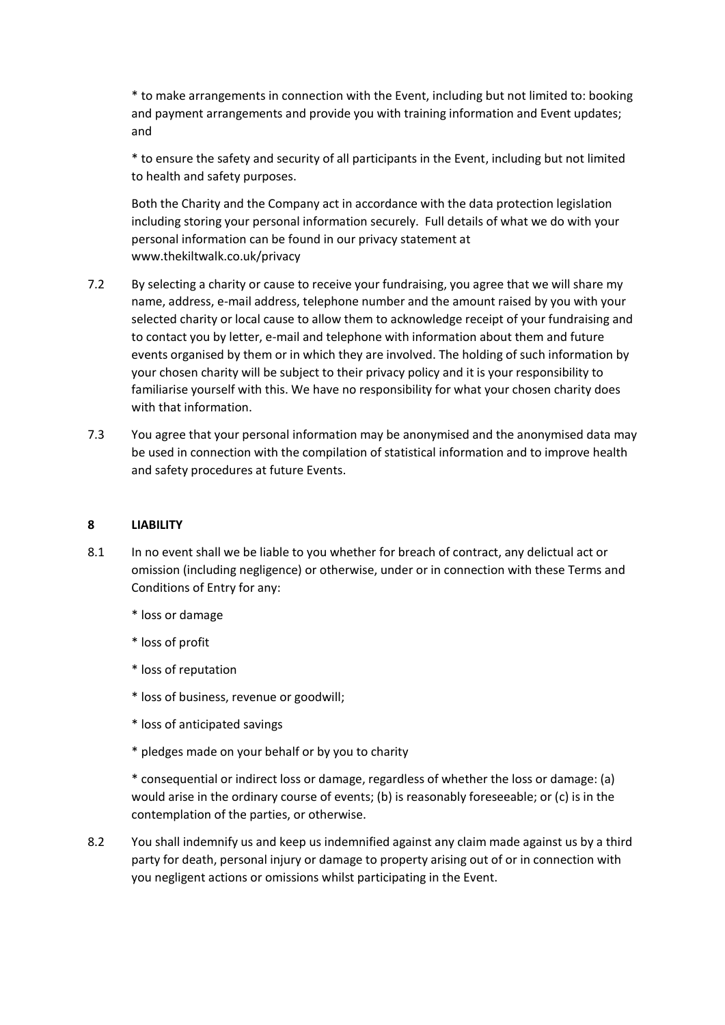\* to make arrangements in connection with the Event, including but not limited to: booking and payment arrangements and provide you with training information and Event updates; and

\* to ensure the safety and security of all participants in the Event, including but not limited to health and safety purposes.

Both the Charity and the Company act in accordance with the data protection legislation including storing your personal information securely. Full details of what we do with your personal information can be found in our privacy statement at www.thekiltwalk.co.uk/privacy

- 7.2 By selecting a charity or cause to receive your fundraising, you agree that we will share my name, address, e-mail address, telephone number and the amount raised by you with your selected charity or local cause to allow them to acknowledge receipt of your fundraising and to contact you by letter, e-mail and telephone with information about them and future events organised by them or in which they are involved. The holding of such information by your chosen charity will be subject to their privacy policy and it is your responsibility to familiarise yourself with this. We have no responsibility for what your chosen charity does with that information.
- 7.3 You agree that your personal information may be anonymised and the anonymised data may be used in connection with the compilation of statistical information and to improve health and safety procedures at future Events.

#### **8 LIABILITY**

- 8.1 In no event shall we be liable to you whether for breach of contract, any delictual act or omission (including negligence) or otherwise, under or in connection with these Terms and Conditions of Entry for any:
	- \* loss or damage
	- \* loss of profit
	- \* loss of reputation
	- \* loss of business, revenue or goodwill;
	- \* loss of anticipated savings
	- \* pledges made on your behalf or by you to charity

\* consequential or indirect loss or damage, regardless of whether the loss or damage: (a) would arise in the ordinary course of events; (b) is reasonably foreseeable; or (c) is in the contemplation of the parties, or otherwise.

8.2 You shall indemnify us and keep us indemnified against any claim made against us by a third party for death, personal injury or damage to property arising out of or in connection with you negligent actions or omissions whilst participating in the Event.